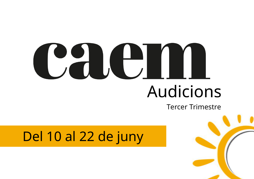## Audicions

## Del 10 al 22 de juny

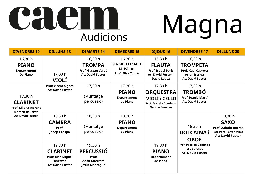| <b>DIVENDRES 10</b>                                                                                           | <b>DILLUNS 13</b>                                                                                    | <b>DIMARTS 14</b>                                                               | <b>DIMECRES 15</b>                                                              | <b>DIJOUS 16</b>                                                                                  | <b>DIVENDRES 17</b>                                                                                        | <b>DILLUNS 20</b>                                                                                                 |
|---------------------------------------------------------------------------------------------------------------|------------------------------------------------------------------------------------------------------|---------------------------------------------------------------------------------|---------------------------------------------------------------------------------|---------------------------------------------------------------------------------------------------|------------------------------------------------------------------------------------------------------------|-------------------------------------------------------------------------------------------------------------------|
| 16,30 h<br><b>PIANO</b><br><b>Departament</b><br><b>De Piano</b>                                              | 17,00 h<br><b>VIOLÍ</b><br><b>Prof: Vicent Signes</b><br><b>Ac: David Fuster</b>                     | 16,30 h<br><b>TROMPA</b><br>Prof: Gustau Verdú<br><b>Ac: David Fuster</b>       | 16,30 h<br><b>SENSIBILITZACIÓ</b><br><b>MUSICAL</b><br><b>Prof: Elisa Tomás</b> | 16,30 h<br><b>FLAUTA</b><br><b>Prof: Isabel Peris</b><br><b>Ac: David Fuster i</b><br>David López | 16,30 h<br><b>TROMPETA</b><br><b>Prof: Xavi Cabrera</b><br><b>Asier Escrivà</b><br><b>Ac: David Fuster</b> |                                                                                                                   |
| 17,30 h<br><b>CLARINET</b><br><b>Prof: Liliana Morant</b><br><b>Mamen Bautista</b><br><b>Ac: David Fuster</b> |                                                                                                      | 17,30 h<br>(Muntatge<br>percussió)                                              | 17,30 h<br><b>PIANO</b><br><b>Departament</b><br>de Piano                       | 17,30 h<br><b>ORQUESTRA</b><br>VIOLÍ i CELLO<br><b>Prof: Isabela Domingo</b><br>Natalia Ivanova   | 17,30 h<br><b>TROMBÓ</b><br>Prof: Joanjo Martí<br><b>Ac: David Fuster</b>                                  |                                                                                                                   |
|                                                                                                               | 18,30 h<br><b>CAMBRA</b><br>Prof:<br><b>Josep Crespo</b>                                             | 18,30 h<br>(Muntatge)<br>percussió)                                             | 18,30 h<br><b>PIANO</b><br><b>Departament</b><br>de Piano                       |                                                                                                   | 18,30 h<br>DOLÇAINA i<br><b>OBOÈ</b>                                                                       | 18,30 h<br><b>SAXO</b><br><b>Prof: Zabalo Borrás</b><br><b>Jose Pons, Ferran Miret</b><br><b>Ac: David Fuster</b> |
|                                                                                                               | 19,30 h<br><b>CLARINET</b><br><b>Prof: Juan Miguel</b><br><b>Terrazas</b><br><b>Ac: David Fuster</b> | 19,30 h<br><b>PERCUSSIÓ</b><br>Prof:<br><b>Adolf Guerrero</b><br>Jesús Montagud |                                                                                 | 19,30 h<br><b>PIANO</b><br><b>Departament</b><br>de Piano                                         | <b>Prof: Paco de Domingo</b><br><b>Josep Crespo</b><br><b>Ac: David Fuster</b>                             |                                                                                                                   |

## **Audicions**

# Magna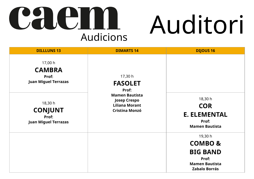| <b>DILLLUNS 13</b>                                                | <b>DIMARTS 14</b>                                                                              |           |
|-------------------------------------------------------------------|------------------------------------------------------------------------------------------------|-----------|
| 17,00 h<br><b>CAMBRA</b><br>Prof:<br><b>Juan Miguel Terrazas</b>  | 17,30 h<br><b>FASOLET</b><br>Prof:                                                             |           |
| 18,30 h<br><b>CONJUNT</b><br>Prof:<br><b>Juan Miguel Terrazas</b> | <b>Mamen Bautista</b><br><b>Josep Crespo</b><br><b>Liliana Morant</b><br><b>Cristina Monzó</b> | E. I<br>N |
|                                                                   |                                                                                                |           |
|                                                                   |                                                                                                | <b>N</b>  |

**DIJOUS 16** 

#### 18,30 h **COR E. ELEMENTAL Prof: Mamen Bautista**

19,30 h **COMBO & BIG BAND Prof:** 

**Mamen Bautista Zabalo Borrás**

## CHI  $\frac{1}{2}$ **Audicions**

## Auditori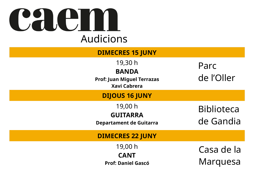## $\left[\begin{array}{cc} \bullet & \bullet \\ \bullet & \bullet \end{array}\right]$ **Audicions**

#### **DIMECRES 15 JUNY**

19,30 h

#### **BANDA**

**Prof: Juan Miguel Terrazas Xavi Cabrera**

#### **DIJOUS 16 JUNY**

19,00 h **GUITARRA** 

**Departament de Guitarra** 

#### **DIMECRES 22 JUNY**

19,00 h **CANT Prof: Daniel Gascó** 

## Casa de la Marquesa

### Parc de l'Oller

## Biblioteca de Gandia